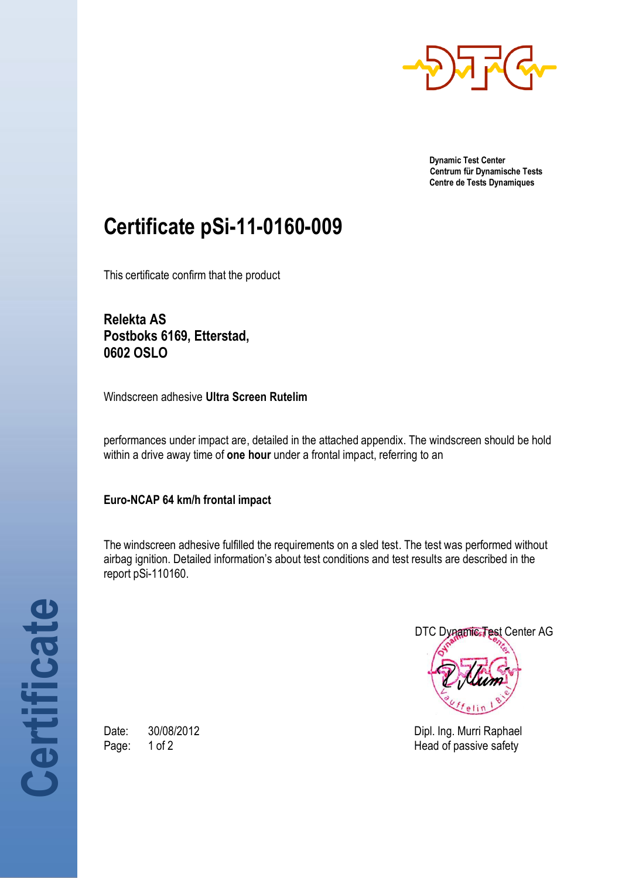

**Dynamic Test Center Centrum für Dynamische Tests Centre de Tests Dynamiques**

## **Certificate pSi-11-0160-009**

This certificate confirm that the product

**Relekta AS Postboks 6169, Etterstad, 0602 OSLO**

Windscreen adhesive **Ultra Screen Rutelim**

performances under impact are, detailed in the attached appendix. The windscreen should be hold within a drive away time of **one hour** under a frontal impact, referring to an

**Euro-NCAP 64 km/h frontal impact**

The windscreen adhesive fulfilled the requirements on a sled test. The test was performed without airbag ignition. Detailed information's about test conditions and test results are described in the report pSi-110160.



Date: 30/08/2012 **Date:** 30/08/2012 Page: 1 of 2 Head of passive safety